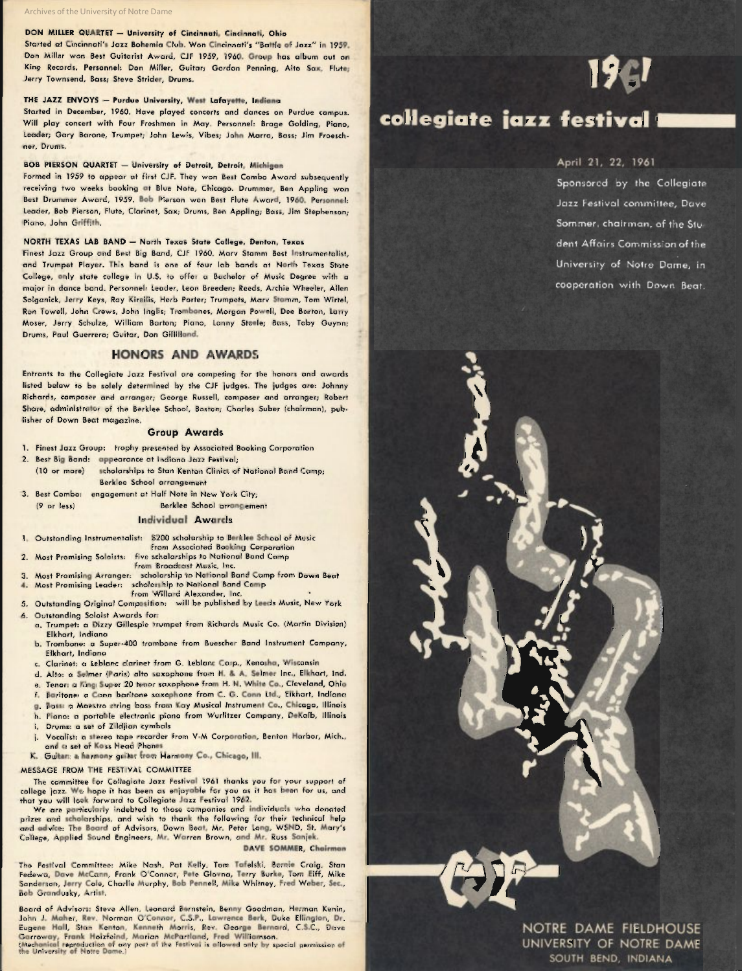#### DON MILLER QUARTET - University of Cincinnati, Cincinnati, Ohio

Started at Cincinnati's Jazz Bohemia Club. Wan Cincinnati's "Battle of Jazz" in 1959. Don Miller won Best Guitarist Award, CJF 1959, 1960. Group has album out on King Records. Personnel: Don Miller, Guitar; Gordon Penning, Alto Sax, Flute; Jerry Townsend, Bass; Steve Strider, Drums.

#### THE JAZZ ENVOYS - Purdue University, West Lafayette, Indiana

Started in December, 1960. Have played concerts and dances on Purdue campus. Will play concert with Four Freshmen in May. Personnel: Brage Golding, Piano, Leader; Gary Barone, Trumpet; John Lewis, Vibes; John Marra, Bass; Jim Froeschner, Drums.

#### BOB PIERSON QUARTET - University of Detroit, Detroit, Michigan

Formed in 1959 to appear at first CJF. They won Best Combo Award subsequently receiving twa weeks booking at Blue Note, Chicago. Drummer, Ben Appling won Best Drummer Award, 1959. Bob Pierson won Best Flute Award, 1960. Personnel: Leader, Bob Pierson, Flute, Clarinet, Sax; Drums, Ben Appling; Bass, Jim Stephenson; Piano, John Griffith.

#### NORTH TEXAS LAB BAND - North Texas State College, Denton, Texas

Finest Jazz Group and Best Big Band, CJF 1960. Marv Stamm Best Instrumentalist, and Trumpet Player. This band is one of four lab bands at North Texas State College, only state college in U.S. to offer a Bachelor of Music Degree with a major in dance band. Personnel: Leader, Leon Breeden; Reeds, Archie Wheeler, Allen Solganick, Jerry Keys, Ray Kireilis, Herb Porter; Trumpets, Marv Stamm, Tom Wirtel, Ron Towell, John Crews, John Inglis; Trombanes, Morgan Powell, Dee Barton, Larry Moser, Jerry Schulze, William Barton; Piano, Lanny Steele; Bass, Toby Guynn; Drum., Paul Guerrero; Guitar, Don Gillilland.

#### HONORS AND AWARDS

Entrants to the Collegiate Jazz Festival are competing for the honors and awards listed below to be solely determined by the CJF judges. The judges are: Johnny Richards, composer and arranger; George Russell, composer and arranger; Robert Share, administrator of the Berklee School, Boston; Charles Suber (chairman), publisher of Down Beat magazine.

#### Group Awards

- 1. Finest Jazz Group: trophy presented by Associated Booking Corporation
- 2. Best Big Band: appearance at Indiana Jazz Festival;
- (10 or more) scholarships to Stan Kenton Clinics of National Band Camp; Berklee School arrangement
- 3. Best Combo: engagement at Half Note in New York City; (9 or less) Berklee School arrangement

#### Individual Awards

- 1. Outstanding Instrumentalist: \$200 scholarship to Berklee School of Music from Associated Booking Corporation
- 2. Most Promising Soloists: five scholarships to National Band Camp
- from Broadcast Music, Inc. 3. Most Promising Arranger: scholarship to National Band Camp from Down Beat
- 4. Most Promising Leader: scholarship to National Band Camp from Willard Alexander, Inc. from Willard Alexander, Inc.<br>5. Outstanding Original Composition: will be published by Leeds Music, New York
- 6. Outstanding Soloist Awards for:
- a. Trumpet: a Dizzy Gillespie trumpet from Richards Music Co. (Martin Division) Elkhart, Indiana
- b. Trombone: a Super-400 trombone from Buescher Band Instrument Company, Elkhart, Indiana
- c. Clarinet: a Leblanc clarinet from G. Leblanc Corp., Kenosha, Wisconsin
- d. Alto: a Selmer (Paris) alto saxophone from H. & A. Selmer Inc., Elkhart, Ind.
- e. Tenor: a King Super 20 tenor saxophone from H. N. White Co., Cleveland, Ohio
- f. Baritone: a Conn baritone saxophone from C. G. Conn Ltd., Elkhart, Indiana
- g. Bass: a Maestro string bass from Kay Musical Instrument Co., Chicago, Illinois
- h. Piano: a portable electronic piano from Wurlitzer Company, DeKalb, Illinois
- i. Drums: a set of Zildjian cymbals
- j. Vocalist: a stereo tape recorder from V-M Corporation, Benton Harbor, Mich., and a set of Koss Head Phones
- K. Guitar: a harmony guitar from Harmony Co., Chicago, III.

#### MESSAGE FROM THE FESTIVAL COMMITTEE

The committee for Collegiate Jazz Festival 1961 thanks you for your support of college jazz. We hope it has been as enjoyable for you as it has been for us, and that you will look forward to Collegiate Jazz Festival 1962.

We are particularly indebted to those companies and individuals who donated prizes and scholarships, and wish to thank the following for their technical help and advice: The Board of Advisors, Down Beat, Mr. Peter Long, WSND, St. Mary's College, Applied Sound Engineers, Mr. Warren Brown, and Mr. Russ Sanjek.

DAVE SOMMER, Chairman

The Festival Committee: Mike Nash, Pat Kelly, Tom Tafelski, Bernie Craig, Stan Fedewa, Dave McCann, Frank O'Connor, Pete Glovna, Terry Burke, Tom Eiff, Mike Sanderson, Jerry Cole, Charlie Murphy, Bob Pennell, Mike Whitney, Fred Weber, Sec., Bob Grandusky, Artist.

Board of Advisors: Steve Allen, Leonard Bernstein, Benny Goodman, Herman Kenin, John J. Maher, Rev. Norman O'Connor, C.S.P., Lawrence Berk, Duke Ellington, Dr. Eugene Hall, Stan Kenton, Kenneth Morris, Rev. George Bernard, C.S.C., Dave Garroway, Frank Holzfeind, Marian McPartland, Fred Williamson.<br>(Mechanical reproduction of any port of the Festival is allowed only by special permission of<br>the University of Notre Dame.)

## 19 gl

## collegiate jazz festival

#### April 21, 22, 1961

Sponsored by the Collegiate Jazz Festival committee, Dave Sommer, chairman, of the Student Affairs Commission of the University of Notre Dame, in cooperation with Down Beat.

NOTRE DAME FIELDHOUSE UNIVERSITY OF NOTRE DAME SOUTH BEND, INDIANA